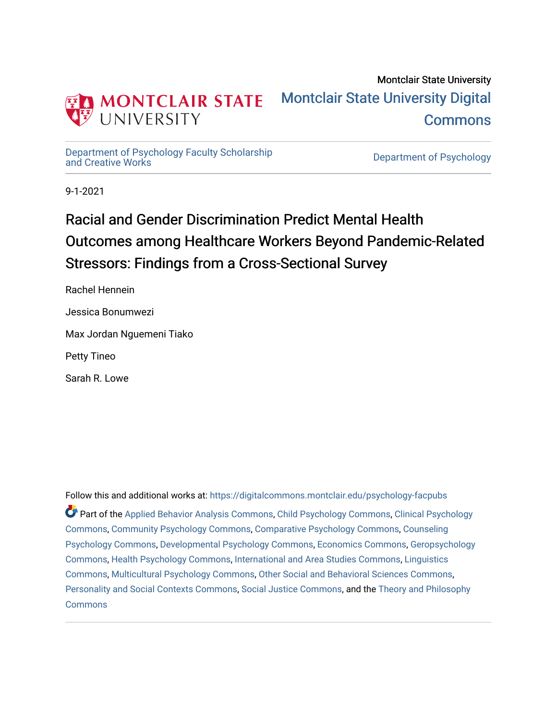

## Montclair State University [Montclair State University Digital](https://digitalcommons.montclair.edu/)  **Commons**

[Department of Psychology Faculty Scholarship](https://digitalcommons.montclair.edu/psychology-facpubs) 

Department of Psychology

9-1-2021

# Racial and Gender Discrimination Predict Mental Health Outcomes among Healthcare Workers Beyond Pandemic-Related Stressors: Findings from a Cross-Sectional Survey

Rachel Hennein

Jessica Bonumwezi

Max Jordan Nguemeni Tiako

Petty Tineo

Sarah R. Lowe

Follow this and additional works at: [https://digitalcommons.montclair.edu/psychology-facpubs](https://digitalcommons.montclair.edu/psychology-facpubs?utm_source=digitalcommons.montclair.edu%2Fpsychology-facpubs%2F606&utm_medium=PDF&utm_campaign=PDFCoverPages)  Part of the [Applied Behavior Analysis Commons](http://network.bepress.com/hgg/discipline/1235?utm_source=digitalcommons.montclair.edu%2Fpsychology-facpubs%2F606&utm_medium=PDF&utm_campaign=PDFCoverPages), [Child Psychology Commons,](http://network.bepress.com/hgg/discipline/1023?utm_source=digitalcommons.montclair.edu%2Fpsychology-facpubs%2F606&utm_medium=PDF&utm_campaign=PDFCoverPages) [Clinical Psychology](http://network.bepress.com/hgg/discipline/406?utm_source=digitalcommons.montclair.edu%2Fpsychology-facpubs%2F606&utm_medium=PDF&utm_campaign=PDFCoverPages)  [Commons](http://network.bepress.com/hgg/discipline/406?utm_source=digitalcommons.montclair.edu%2Fpsychology-facpubs%2F606&utm_medium=PDF&utm_campaign=PDFCoverPages), [Community Psychology Commons,](http://network.bepress.com/hgg/discipline/409?utm_source=digitalcommons.montclair.edu%2Fpsychology-facpubs%2F606&utm_medium=PDF&utm_campaign=PDFCoverPages) [Comparative Psychology Commons,](http://network.bepress.com/hgg/discipline/1387?utm_source=digitalcommons.montclair.edu%2Fpsychology-facpubs%2F606&utm_medium=PDF&utm_campaign=PDFCoverPages) [Counseling](http://network.bepress.com/hgg/discipline/1044?utm_source=digitalcommons.montclair.edu%2Fpsychology-facpubs%2F606&utm_medium=PDF&utm_campaign=PDFCoverPages)  [Psychology Commons,](http://network.bepress.com/hgg/discipline/1044?utm_source=digitalcommons.montclair.edu%2Fpsychology-facpubs%2F606&utm_medium=PDF&utm_campaign=PDFCoverPages) [Developmental Psychology Commons,](http://network.bepress.com/hgg/discipline/410?utm_source=digitalcommons.montclair.edu%2Fpsychology-facpubs%2F606&utm_medium=PDF&utm_campaign=PDFCoverPages) [Economics Commons,](http://network.bepress.com/hgg/discipline/340?utm_source=digitalcommons.montclair.edu%2Fpsychology-facpubs%2F606&utm_medium=PDF&utm_campaign=PDFCoverPages) [Geropsychology](http://network.bepress.com/hgg/discipline/1420?utm_source=digitalcommons.montclair.edu%2Fpsychology-facpubs%2F606&utm_medium=PDF&utm_campaign=PDFCoverPages)  [Commons](http://network.bepress.com/hgg/discipline/1420?utm_source=digitalcommons.montclair.edu%2Fpsychology-facpubs%2F606&utm_medium=PDF&utm_campaign=PDFCoverPages), [Health Psychology Commons,](http://network.bepress.com/hgg/discipline/411?utm_source=digitalcommons.montclair.edu%2Fpsychology-facpubs%2F606&utm_medium=PDF&utm_campaign=PDFCoverPages) [International and Area Studies Commons,](http://network.bepress.com/hgg/discipline/360?utm_source=digitalcommons.montclair.edu%2Fpsychology-facpubs%2F606&utm_medium=PDF&utm_campaign=PDFCoverPages) [Linguistics](http://network.bepress.com/hgg/discipline/371?utm_source=digitalcommons.montclair.edu%2Fpsychology-facpubs%2F606&utm_medium=PDF&utm_campaign=PDFCoverPages) [Commons](http://network.bepress.com/hgg/discipline/371?utm_source=digitalcommons.montclair.edu%2Fpsychology-facpubs%2F606&utm_medium=PDF&utm_campaign=PDFCoverPages), [Multicultural Psychology Commons](http://network.bepress.com/hgg/discipline/1237?utm_source=digitalcommons.montclair.edu%2Fpsychology-facpubs%2F606&utm_medium=PDF&utm_campaign=PDFCoverPages), [Other Social and Behavioral Sciences Commons,](http://network.bepress.com/hgg/discipline/437?utm_source=digitalcommons.montclair.edu%2Fpsychology-facpubs%2F606&utm_medium=PDF&utm_campaign=PDFCoverPages) [Personality and Social Contexts Commons](http://network.bepress.com/hgg/discipline/413?utm_source=digitalcommons.montclair.edu%2Fpsychology-facpubs%2F606&utm_medium=PDF&utm_campaign=PDFCoverPages), [Social Justice Commons](http://network.bepress.com/hgg/discipline/1432?utm_source=digitalcommons.montclair.edu%2Fpsychology-facpubs%2F606&utm_medium=PDF&utm_campaign=PDFCoverPages), and the [Theory and Philosophy](http://network.bepress.com/hgg/discipline/1238?utm_source=digitalcommons.montclair.edu%2Fpsychology-facpubs%2F606&utm_medium=PDF&utm_campaign=PDFCoverPages) **[Commons](http://network.bepress.com/hgg/discipline/1238?utm_source=digitalcommons.montclair.edu%2Fpsychology-facpubs%2F606&utm_medium=PDF&utm_campaign=PDFCoverPages)**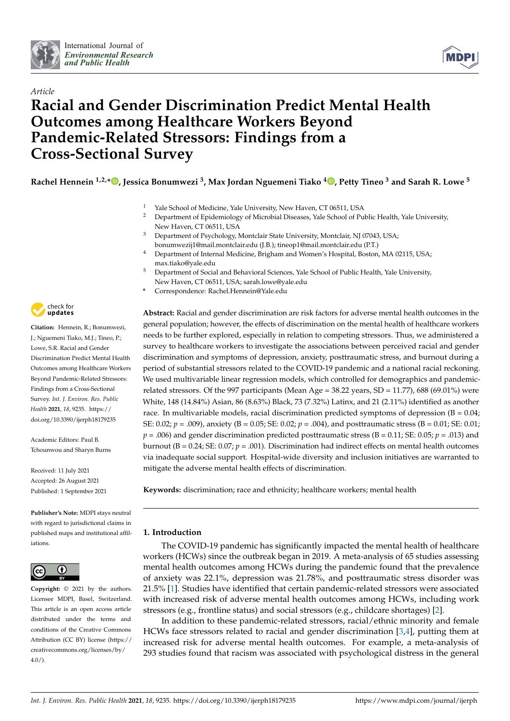



### *Article* **Racial and Gender Discrimination Predict Mental Health Outcomes among Healthcare Workers Beyond Pandemic-Related Stressors: Findings from a Cross-Sectional Survey**

**Rachel Hennein 1,2,\* [,](https://orcid.org/0000-0001-6855-0402) Jessica Bonumwezi <sup>3</sup> , Max Jordan Nguemeni Tiako <sup>4</sup> [,](https://orcid.org/0000-0002-5468-8926) Petty Tineo <sup>3</sup> and Sarah R. Lowe <sup>5</sup>**

- <sup>1</sup> Yale School of Medicine, Yale University, New Haven, CT 06511, USA<br><sup>2</sup> Department of Fridamials are of Minubial Discoses. Yele School of Bu
- <sup>2</sup> Department of Epidemiology of Microbial Diseases, Yale School of Public Health, Yale University, New Haven, CT 06511, USA
- Department of Psychology, Montclair State University, Montclair, NJ 07043, USA; bonumwezij1@mail.montclair.edu (J.B.); tineop1@mail.montclair.edu (P.T.)
- <sup>4</sup> Department of Internal Medicine, Brigham and Women's Hospital, Boston, MA 02115, USA; max.tiako@yale.edu
- <sup>5</sup> Department of Social and Behavioral Sciences, Yale School of Public Health, Yale University, New Haven, CT 06511, USA; sarah.lowe@yale.edu
- **\*** Correspondence: Rachel.Hennein@Yale.edu

**Abstract:** Racial and gender discrimination are risk factors for adverse mental health outcomes in the general population; however, the effects of discrimination on the mental health of healthcare workers needs to be further explored, especially in relation to competing stressors. Thus, we administered a survey to healthcare workers to investigate the associations between perceived racial and gender discrimination and symptoms of depression, anxiety, posttraumatic stress, and burnout during a period of substantial stressors related to the COVID-19 pandemic and a national racial reckoning. We used multivariable linear regression models, which controlled for demographics and pandemicrelated stressors. Of the 997 participants (Mean Age =  $38.22$  years, SD = 11.77), 688 (69.01%) were White, 148 (14.84%) Asian, 86 (8.63%) Black, 73 (7.32%) Latinx, and 21 (2.11%) identified as another race. In multivariable models, racial discrimination predicted symptoms of depression  $(B = 0.04)$ ; SE: 0.02; *p* = .009), anxiety (B = 0.05; SE: 0.02; *p* = .004), and posttraumatic stress (B = 0.01; SE: 0.01;  $p = .006$ ) and gender discrimination predicted posttraumatic stress (B = 0.11; SE: 0.05;  $p = .013$ ) and burnout (B = 0.24; SE: 0.07; *p* = .001). Discrimination had indirect effects on mental health outcomes via inadequate social support. Hospital-wide diversity and inclusion initiatives are warranted to mitigate the adverse mental health effects of discrimination.

Keywords: discrimination; race and ethnicity; healthcare workers; mental health

#### **1. Introduction**

The COVID-19 pandemic has significantly impacted the mental health of healthcare workers (HCWs) since the outbreak began in 2019. A meta-analysis of 65 studies assessing mental health outcomes among HCWs during the pandemic found that the prevalence of anxiety was 22.1%, depression was 21.78%, and posttraumatic stress disorder was 21.5% [\[1\]](#page-12-0). Studies have identified that certain pandemic-related stressors were associated with increased risk of adverse mental health outcomes among HCWs, including work stressors (e.g., frontline status) and social stressors (e.g., childcare shortages) [\[2\]](#page-12-1).

In addition to these pandemic-related stressors, racial/ethnic minority and female HCWs face stressors related to racial and gender discrimination  $[3,4]$  $[3,4]$ , putting them at increased risk for adverse mental health outcomes. For example, a meta-analysis of 293 studies found that racism was associated with psychological distress in the general



**Citation:** Hennein, R.; Bonumwezi, J.; Nguemeni Tiako, M.J.; Tineo, P.; Lowe, S.R. Racial and Gender Discrimination Predict Mental Health Outcomes among Healthcare Workers Beyond Pandemic-Related Stressors: Findings from a Cross-Sectional Survey. *Int. J. Environ. Res. Public Health* **2021**, *18*, 9235. [https://](https://doi.org/10.3390/ijerph18179235) [doi.org/10.3390/ijerph18179235](https://doi.org/10.3390/ijerph18179235)

Academic Editors: Paul B. Tchounwou and Sharyn Burns

Received: 11 July 2021 Accepted: 26 August 2021 Published: 1 September 2021

**Publisher's Note:** MDPI stays neutral with regard to jurisdictional claims in published maps and institutional affiliations.



**Copyright:** © 2021 by the authors. Licensee MDPI, Basel, Switzerland. This article is an open access article distributed under the terms and conditions of the Creative Commons Attribution (CC BY) license (https:/[/](https://creativecommons.org/licenses/by/4.0/) [creativecommons.org/licenses/by/](https://creativecommons.org/licenses/by/4.0/) 4.0/).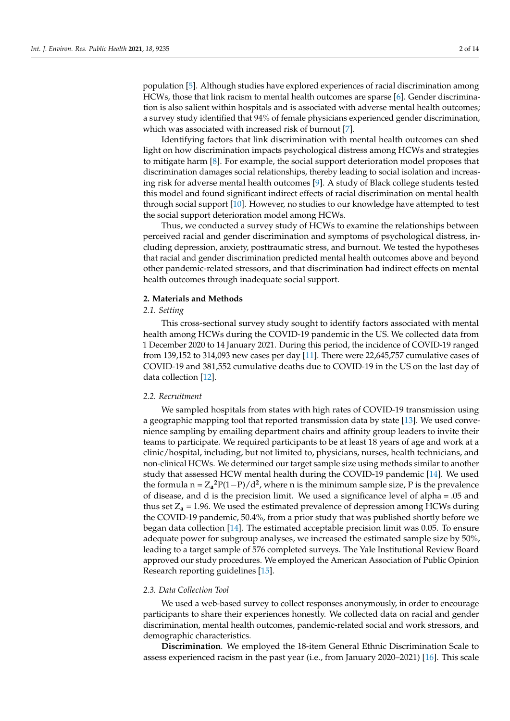population [\[5\]](#page-12-4). Although studies have explored experiences of racial discrimination among HCWs, those that link racism to mental health outcomes are sparse [\[6\]](#page-12-5). Gender discrimination is also salient within hospitals and is associated with adverse mental health outcomes; a survey study identified that 94% of female physicians experienced gender discrimination, which was associated with increased risk of burnout [\[7\]](#page-12-6).

Identifying factors that link discrimination with mental health outcomes can shed light on how discrimination impacts psychological distress among HCWs and strategies to mitigate harm [\[8\]](#page-12-7). For example, the social support deterioration model proposes that discrimination damages social relationships, thereby leading to social isolation and increasing risk for adverse mental health outcomes [\[9\]](#page-12-8). A study of Black college students tested this model and found significant indirect effects of racial discrimination on mental health through social support [\[10\]](#page-12-9). However, no studies to our knowledge have attempted to test the social support deterioration model among HCWs.

Thus, we conducted a survey study of HCWs to examine the relationships between perceived racial and gender discrimination and symptoms of psychological distress, including depression, anxiety, posttraumatic stress, and burnout. We tested the hypotheses that racial and gender discrimination predicted mental health outcomes above and beyond other pandemic-related stressors, and that discrimination had indirect effects on mental health outcomes through inadequate social support.

#### **2. Materials and Methods**

#### *2.1. Setting*

This cross-sectional survey study sought to identify factors associated with mental health among HCWs during the COVID-19 pandemic in the US. We collected data from 1 December 2020 to 14 January 2021. During this period, the incidence of COVID-19 ranged from 139,152 to 314,093 new cases per day [\[11\]](#page-12-10). There were 22,645,757 cumulative cases of COVID-19 and 381,552 cumulative deaths due to COVID-19 in the US on the last day of data collection [\[12\]](#page-12-11).

#### *2.2. Recruitment*

We sampled hospitals from states with high rates of COVID-19 transmission using a geographic mapping tool that reported transmission data by state [\[13\]](#page-12-12). We used convenience sampling by emailing department chairs and affinity group leaders to invite their teams to participate. We required participants to be at least 18 years of age and work at a clinic/hospital, including, but not limited to, physicians, nurses, health technicians, and non-clinical HCWs. We determined our target sample size using methods similar to another study that assessed HCW mental health during the COVID-19 pandemic [\[14\]](#page-12-13). We used the formula  $n = Z_a^2 P(1-P)/d^2$ , where n is the minimum sample size, P is the prevalence of disease, and d is the precision limit. We used a significance level of alpha = .05 and thus set  $Z_a$  = 1.96. We used the estimated prevalence of depression among HCWs during the COVID-19 pandemic, 50.4%, from a prior study that was published shortly before we began data collection [\[14\]](#page-12-13). The estimated acceptable precision limit was 0.05. To ensure adequate power for subgroup analyses, we increased the estimated sample size by 50%, leading to a target sample of 576 completed surveys. The Yale Institutional Review Board approved our study procedures. We employed the American Association of Public Opinion Research reporting guidelines [\[15\]](#page-12-14).

#### *2.3. Data Collection Tool*

We used a web-based survey to collect responses anonymously, in order to encourage participants to share their experiences honestly. We collected data on racial and gender discrimination, mental health outcomes, pandemic-related social and work stressors, and demographic characteristics.

**Discrimination**. We employed the 18-item General Ethnic Discrimination Scale to assess experienced racism in the past year (i.e., from January 2020–2021) [\[16\]](#page-12-15). This scale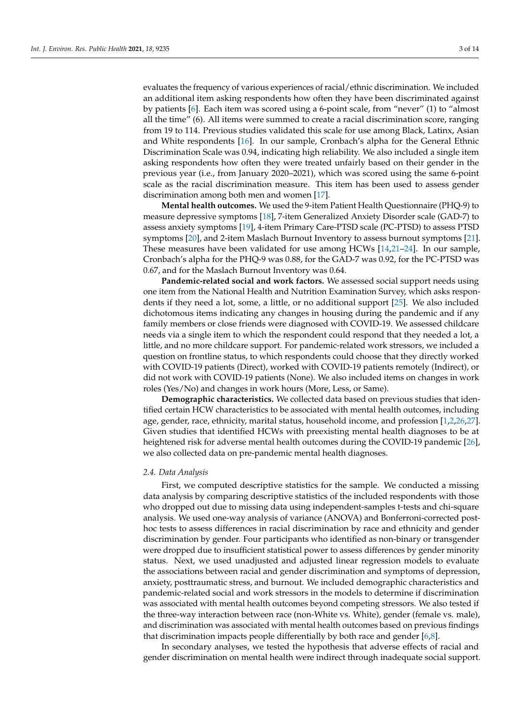evaluates the frequency of various experiences of racial/ethnic discrimination. We included an additional item asking respondents how often they have been discriminated against by patients [\[6\]](#page-12-5). Each item was scored using a 6-point scale, from "never" (1) to "almost all the time" (6). All items were summed to create a racial discrimination score, ranging from 19 to 114. Previous studies validated this scale for use among Black, Latinx, Asian and White respondents [\[16\]](#page-12-15). In our sample, Cronbach's alpha for the General Ethnic Discrimination Scale was 0.94, indicating high reliability. We also included a single item asking respondents how often they were treated unfairly based on their gender in the previous year (i.e., from January 2020–2021), which was scored using the same 6-point scale as the racial discrimination measure. This item has been used to assess gender discrimination among both men and women [\[17\]](#page-12-16).

**Mental health outcomes.** We used the 9-item Patient Health Questionnaire (PHQ-9) to measure depressive symptoms [\[18\]](#page-12-17), 7-item Generalized Anxiety Disorder scale (GAD-7) to assess anxiety symptoms [\[19\]](#page-12-18), 4-item Primary Care-PTSD scale (PC-PTSD) to assess PTSD symptoms [\[20\]](#page-12-19), and 2-item Maslach Burnout Inventory to assess burnout symptoms [\[21\]](#page-12-20). These measures have been validated for use among HCWs [\[14](#page-12-13)[,21](#page-12-20)[–24\]](#page-13-0). In our sample, Cronbach's alpha for the PHQ-9 was 0.88, for the GAD-7 was 0.92, for the PC-PTSD was 0.67, and for the Maslach Burnout Inventory was 0.64.

**Pandemic-related social and work factors.** We assessed social support needs using one item from the National Health and Nutrition Examination Survey, which asks respondents if they need a lot, some, a little, or no additional support [\[25\]](#page-13-1). We also included dichotomous items indicating any changes in housing during the pandemic and if any family members or close friends were diagnosed with COVID-19. We assessed childcare needs via a single item to which the respondent could respond that they needed a lot, a little, and no more childcare support. For pandemic-related work stressors, we included a question on frontline status, to which respondents could choose that they directly worked with COVID-19 patients (Direct), worked with COVID-19 patients remotely (Indirect), or did not work with COVID-19 patients (None). We also included items on changes in work roles (Yes/No) and changes in work hours (More, Less, or Same).

**Demographic characteristics.** We collected data based on previous studies that identified certain HCW characteristics to be associated with mental health outcomes, including age, gender, race, ethnicity, marital status, household income, and profession [\[1,](#page-12-0)[2,](#page-12-1)[26,](#page-13-2)[27\]](#page-13-3). Given studies that identified HCWs with preexisting mental health diagnoses to be at heightened risk for adverse mental health outcomes during the COVID-19 pandemic [\[26\]](#page-13-2), we also collected data on pre-pandemic mental health diagnoses.

#### *2.4. Data Analysis*

First, we computed descriptive statistics for the sample. We conducted a missing data analysis by comparing descriptive statistics of the included respondents with those who dropped out due to missing data using independent-samples t-tests and chi-square analysis. We used one-way analysis of variance (ANOVA) and Bonferroni-corrected posthoc tests to assess differences in racial discrimination by race and ethnicity and gender discrimination by gender. Four participants who identified as non-binary or transgender were dropped due to insufficient statistical power to assess differences by gender minority status. Next, we used unadjusted and adjusted linear regression models to evaluate the associations between racial and gender discrimination and symptoms of depression, anxiety, posttraumatic stress, and burnout. We included demographic characteristics and pandemic-related social and work stressors in the models to determine if discrimination was associated with mental health outcomes beyond competing stressors. We also tested if the three-way interaction between race (non-White vs. White), gender (female vs. male), and discrimination was associated with mental health outcomes based on previous findings that discrimination impacts people differentially by both race and gender [\[6](#page-12-5)[,8\]](#page-12-7).

In secondary analyses, we tested the hypothesis that adverse effects of racial and gender discrimination on mental health were indirect through inadequate social support.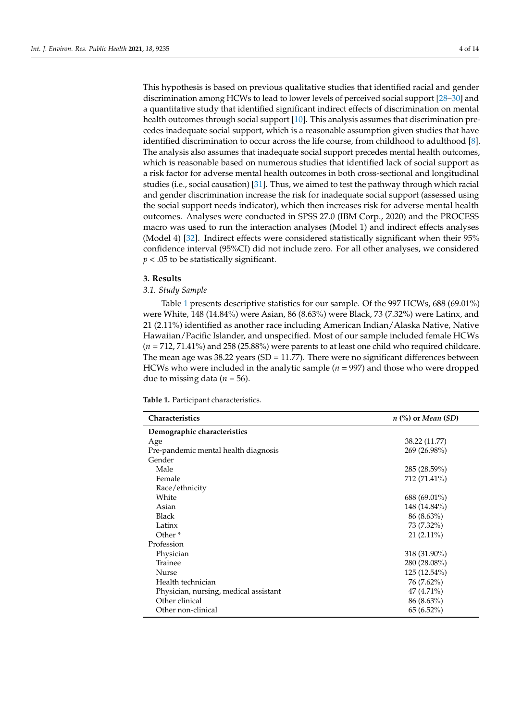This hypothesis is based on previous qualitative studies that identified racial and gender discrimination among HCWs to lead to lower levels of perceived social support [\[28](#page-13-4)[–30\]](#page-13-5) and a quantitative study that identified significant indirect effects of discrimination on mental health outcomes through social support [\[10\]](#page-12-9). This analysis assumes that discrimination precedes inadequate social support, which is a reasonable assumption given studies that have identified discrimination to occur across the life course, from childhood to adulthood [\[8\]](#page-12-7). The analysis also assumes that inadequate social support precedes mental health outcomes, which is reasonable based on numerous studies that identified lack of social support as a risk factor for adverse mental health outcomes in both cross-sectional and longitudinal studies (i.e., social causation) [\[31\]](#page-13-6). Thus, we aimed to test the pathway through which racial and gender discrimination increase the risk for inadequate social support (assessed using the social support needs indicator), which then increases risk for adverse mental health outcomes. Analyses were conducted in SPSS 27.0 (IBM Corp., 2020) and the PROCESS macro was used to run the interaction analyses (Model 1) and indirect effects analyses (Model 4) [\[32\]](#page-13-7). Indirect effects were considered statistically significant when their 95% confidence interval (95%CI) did not include zero. For all other analyses, we considered *p* < .05 to be statistically significant.

#### **3. Results**

#### *3.1. Study Sample*

Table [1](#page-5-0) presents descriptive statistics for our sample. Of the 997 HCWs, 688 (69.01%) were White, 148 (14.84%) were Asian, 86 (8.63%) were Black, 73 (7.32%) were Latinx, and 21 (2.11%) identified as another race including American Indian/Alaska Native, Native Hawaiian/Pacific Islander, and unspecified. Most of our sample included female HCWs (*n* = 712, 71.41%) and 258 (25.88%) were parents to at least one child who required childcare. The mean age was 38.22 years (SD = 11.77). There were no significant differences between HCWs who were included in the analytic sample (*n* = 997) and those who were dropped due to missing data (*n =* 56).

**Table 1.** Participant characteristics.

| <b>Characteristics</b>                | $n$ (%) or Mean (SD) |  |  |
|---------------------------------------|----------------------|--|--|
| Demographic characteristics           |                      |  |  |
| Age                                   | 38.22 (11.77)        |  |  |
| Pre-pandemic mental health diagnosis  | 269 (26.98%)         |  |  |
| Gender                                |                      |  |  |
| Male                                  | 285 (28.59%)         |  |  |
| Female                                | 712 (71.41%)         |  |  |
| Race/ethnicity                        |                      |  |  |
| White                                 | 688 (69.01%)         |  |  |
| Asian                                 | 148 (14.84%)         |  |  |
| <b>Black</b>                          | $86(8.63\%)$         |  |  |
| Latinx                                | 73 (7.32%)           |  |  |
| Other <sup>*</sup>                    | $21(2.11\%)$         |  |  |
| Profession                            |                      |  |  |
| Physician                             | 318 (31.90%)         |  |  |
| Trainee                               | 280 (28.08%)         |  |  |
| Nurse                                 | 125 (12.54%)         |  |  |
| Health technician                     | 76 (7.62%)           |  |  |
| Physician, nursing, medical assistant | 47 (4.71%)           |  |  |
| Other clinical                        | $86(8.63\%)$         |  |  |
| Other non-clinical                    | $65(6.52\%)$         |  |  |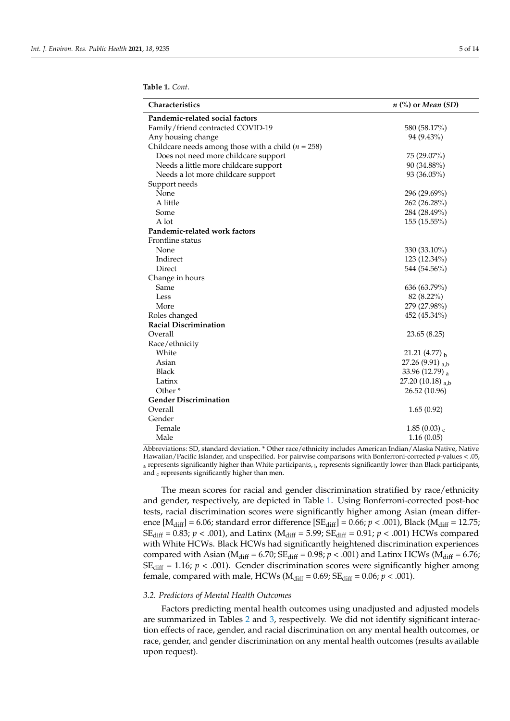<span id="page-5-0"></span>**Table 1.** *Cont*.

| Characteristics                                        | $n$ (%) or Mean (SD)      |  |  |  |  |
|--------------------------------------------------------|---------------------------|--|--|--|--|
| Pandemic-related social factors                        |                           |  |  |  |  |
| Family/friend contracted COVID-19                      | 580 (58.17%)              |  |  |  |  |
| Any housing change                                     | 94 (9.43%)                |  |  |  |  |
| Childcare needs among those with a child ( $n = 258$ ) |                           |  |  |  |  |
| Does not need more childcare support                   | 75 (29.07%)               |  |  |  |  |
| Needs a little more childcare support                  | 90 (34.88%)               |  |  |  |  |
| Needs a lot more childcare support                     | 93 (36.05%)               |  |  |  |  |
| Support needs                                          |                           |  |  |  |  |
| None                                                   | 296 (29.69%)              |  |  |  |  |
| A little                                               | 262 (26.28%)              |  |  |  |  |
| Some                                                   | 284 (28.49%)              |  |  |  |  |
| A lot                                                  | 155 (15.55%)              |  |  |  |  |
| Pandemic-related work factors                          |                           |  |  |  |  |
| Frontline status                                       |                           |  |  |  |  |
| None                                                   | 330 (33.10%)              |  |  |  |  |
| Indirect                                               | 123 (12.34%)              |  |  |  |  |
| Direct                                                 | 544 (54.56%)              |  |  |  |  |
| Change in hours                                        |                           |  |  |  |  |
| Same                                                   | 636 (63.79%)              |  |  |  |  |
| Less                                                   | 82 (8.22%)                |  |  |  |  |
| More                                                   | 279 (27.98%)              |  |  |  |  |
| Roles changed                                          | 452 (45.34%)              |  |  |  |  |
| <b>Racial Discrimination</b>                           |                           |  |  |  |  |
| Overall                                                | 23.65 (8.25)              |  |  |  |  |
| Race/ethnicity                                         |                           |  |  |  |  |
| White                                                  | 21.21 (4.77) $_{\rm b}$   |  |  |  |  |
| Asian                                                  | 27.26 (9.91) $_{a,b}$     |  |  |  |  |
| <b>Black</b>                                           | 33.96 (12.79) a           |  |  |  |  |
| Latinx                                                 | 27.20 (10.18) $_{a,b}$    |  |  |  |  |
| Other <sup>*</sup>                                     | 26.52 (10.96)             |  |  |  |  |
| <b>Gender Discrimination</b>                           |                           |  |  |  |  |
| Overall                                                | 1.65(0.92)                |  |  |  |  |
| Gender                                                 |                           |  |  |  |  |
| Female                                                 | $1.85(0.03)$ <sub>c</sub> |  |  |  |  |
| Male                                                   | 1.16(0.05)                |  |  |  |  |

Abbreviations: SD, standard deviation. \* Other race/ethnicity includes American Indian/Alaska Native, Native Hawaiian/Pacific Islander, and unspecified. For pairwise comparisons with Bonferroni-corrected *p*-values < .05,  $a$  represents significantly higher than White participants,  $b$  represents significantly lower than Black participants, and c represents significantly higher than men.

The mean scores for racial and gender discrimination stratified by race/ethnicity and gender, respectively, are depicted in Table [1.](#page-5-0) Using Bonferroni-corrected post-hoc tests, racial discrimination scores were significantly higher among Asian (mean difference  $[M_{diff}] = 6.06$ ; standard error difference  $[SE_{diff}] = 0.66$ ;  $p < .001$ ), Black ( $M_{diff} = 12.75$ ; SE<sub>diff</sub> = 0.83;  $p < .001$ ), and Latinx (M<sub>diff</sub> = 5.99; SE<sub>diff</sub> = 0.91;  $p < .001$ ) HCWs compared with White HCWs. Black HCWs had significantly heightened discrimination experiences compared with Asian ( $M_{diff} = 6.70$ ;  $SE_{diff} = 0.98$ ;  $p < .001$ ) and Latinx HCWs ( $M_{diff} = 6.76$ ;  $SE_{diff}$  = 1.16;  $p$  < .001). Gender discrimination scores were significantly higher among female, compared with male, HCWs ( $M_{diff} = 0.69$ ;  $SE_{diff} = 0.06$ ;  $p < .001$ ).

#### *3.2. Predictors of Mental Health Outcomes*

Factors predicting mental health outcomes using unadjusted and adjusted models are summarized in Tables [2](#page-6-0) and [3,](#page-7-0) respectively. We did not identify significant interaction effects of race, gender, and racial discrimination on any mental health outcomes, or race, gender, and gender discrimination on any mental health outcomes (results available upon request).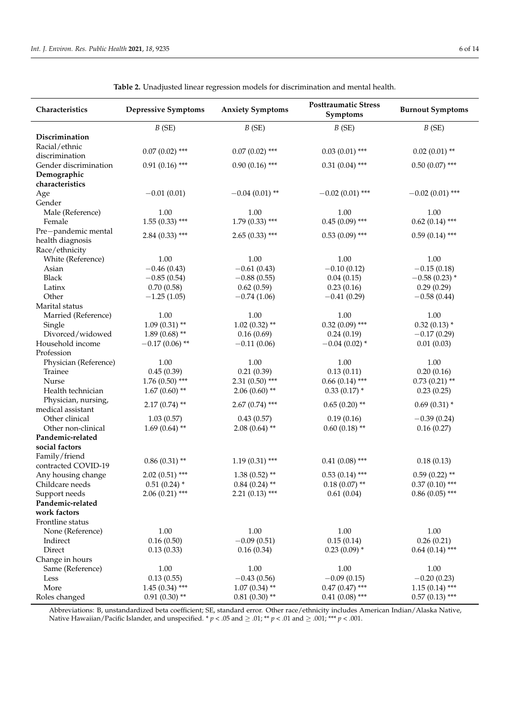<span id="page-6-0"></span>

| Characteristics       | <b>Depressive Symptoms</b> | <b>Anxiety Symptoms</b> | <b>Posttraumatic Stress</b><br>Symptoms | <b>Burnout Symptoms</b> |
|-----------------------|----------------------------|-------------------------|-----------------------------------------|-------------------------|
|                       | B(SE)                      | B(SE)                   | B(SE)                                   | B(SE)                   |
| Discrimination        |                            |                         |                                         |                         |
| Racial/ethnic         |                            |                         |                                         |                         |
| discrimination        | $0.07(0.02)$ ***           | $0.07(0.02)$ ***        | $0.03(0.01)$ ***                        | $0.02(0.01)$ **         |
| Gender discrimination | $0.91(0.16)$ ***           | $0.90(0.16)$ ***        | $0.31(0.04)$ ***                        | $0.50(0.07)$ ***        |
| Demographic           |                            |                         |                                         |                         |
| characteristics       |                            |                         |                                         |                         |
| Age                   | $-0.01(0.01)$              | $-0.04(0.01)$ **        | $-0.02(0.01)$ ***                       | $-0.02(0.01)$ ***       |
| Gender                |                            |                         |                                         |                         |
| Male (Reference)      | 1.00                       | 1.00                    | 1.00                                    | 1.00                    |
| Female                | $1.55(0.33)$ ***           | $1.79(0.33)$ ***        | $0.45(0.09)$ ***                        | $0.62(0.14)$ ***        |
| Pre-pandemic mental   | $2.84(0.33)$ ***           | $2.65(0.33)$ ***        | $0.53(0.09)$ ***                        | $0.59(0.14)$ ***        |
| health diagnosis      |                            |                         |                                         |                         |
| Race/ethnicity        |                            |                         |                                         |                         |
| White (Reference)     | 1.00                       | 1.00                    | 1.00                                    | 1.00                    |
| Asian                 | $-0.46(0.43)$              | $-0.61(0.43)$           | $-0.10(0.12)$                           | $-0.15(0.18)$           |
| <b>Black</b>          | $-0.85(0.54)$              | $-0.88(0.55)$           | 0.04(0.15)                              | $-0.58(0.23)$ *         |
| Latinx                | 0.70(0.58)                 | 0.62(0.59)              | 0.23(0.16)                              | 0.29(0.29)              |
| Other                 | $-1.25(1.05)$              | $-0.74(1.06)$           | $-0.41(0.29)$                           | $-0.58(0.44)$           |
| Marital status        |                            |                         |                                         |                         |
| Married (Reference)   | 1.00                       | 1.00                    | 1.00                                    | 1.00                    |
| Single                | $1.09(0.31)$ **            | $1.02(0.32)$ **         | $0.32(0.09)$ ***                        | $0.32(0.13)$ *          |
| Divorced/widowed      | $1.89(0.68)$ **            | 0.16(0.69)              | 0.24(0.19)                              | $-0.17(0.29)$           |
| Household income      | $-0.17(0.06)$ **           | $-0.11(0.06)$           | $-0.04(0.02)$ *                         | 0.01(0.03)              |
| Profession            |                            |                         |                                         |                         |
| Physician (Reference) | 1.00                       | 1.00                    | 1.00                                    | 1.00                    |
| Trainee               | 0.45(0.39)                 | 0.21(0.39)              | 0.13(0.11)                              | 0.20(0.16)              |
| Nurse                 | $1.76(0.50)$ ***           | $2.31(0.50)$ ***        | $0.66(0.14)$ ***                        | $0.73(0.21)$ **         |
| Health technician     | $1.67(0.60)$ **            | $2.06(0.60)$ **         | $0.33(0.17)$ *                          | 0.23(0.25)              |
| Physician, nursing,   | $2.17(0.74)$ **            | $2.67(0.74)$ ***        | $0.65(0.20)$ **                         | $0.69(0.31)$ *          |
| medical assistant     |                            |                         |                                         |                         |
| Other clinical        | 1.03(0.57)                 | 0.43(0.57)              | 0.19(0.16)                              | $-0.39(0.24)$           |
| Other non-clinical    | $1.69(0.64)$ **            | $2.08(0.64)$ **         | $0.60(0.18)$ **                         | 0.16(0.27)              |
| Pandemic-related      |                            |                         |                                         |                         |
| social factors        |                            |                         |                                         |                         |
| Family/friend         | $0.86(0.31)$ **            | $1.19(0.31)$ ***        | $0.41(0.08)$ ***                        | 0.18(0.13)              |
| contracted COVID-19   |                            |                         |                                         |                         |
| Any housing change    | $2.02(0.51)$ ***           | $1.38(0.52)$ **         | $0.53(0.14)$ ***                        | $0.59(0.22)$ **         |
| Childcare needs       | $0.51(0.24)$ *             | $0.84(0.24)$ **         | $0.18(0.07)$ **                         | $0.37(0.10)$ ***        |
| Support needs         | $2.06(0.21)$ ***           | $2.21(0.13)$ ***        | 0.61(0.04)                              | $0.86(0.05)$ ***        |
| Pandemic-related      |                            |                         |                                         |                         |
| work factors          |                            |                         |                                         |                         |
| Frontline status      |                            |                         |                                         |                         |
| None (Reference)      | 1.00                       | 1.00                    | 1.00                                    | 1.00                    |
| Indirect              | 0.16(0.50)                 | $-0.09(0.51)$           | 0.15(0.14)                              | 0.26(0.21)              |
| Direct                | 0.13(0.33)                 | 0.16(0.34)              | $0.23(0.09)$ *                          | $0.64(0.14)$ ***        |
| Change in hours       |                            |                         |                                         |                         |
| Same (Reference)      | 1.00                       | 1.00                    | $1.00\,$                                | 1.00                    |
| Less                  | 0.13(0.55)                 | $-0.43(0.56)$           | $-0.09(0.15)$                           | $-0.20(0.23)$           |
| More                  | $1.45(0.34)$ ***           | $1.07(0.34)$ **         | $0.47(0.47)$ ***                        | $1.15(0.14)$ ***        |
| Roles changed         | $0.91(0.30)$ **            | $0.81(0.30)$ **         | $0.41(0.08)$ ***                        | $0.57(0.13)$ ***        |

**Table 2.** Unadjusted linear regression models for discrimination and mental health.

Abbreviations: B, unstandardized beta coefficient; SE, standard error. Other race/ethnicity includes American Indian/Alaska Native, Native Hawaiian/Pacific Islander, and unspecified.  $* p < .05$  and  $\ge .01; ** p < .01$  and  $\ge .001; ** p < .001$ .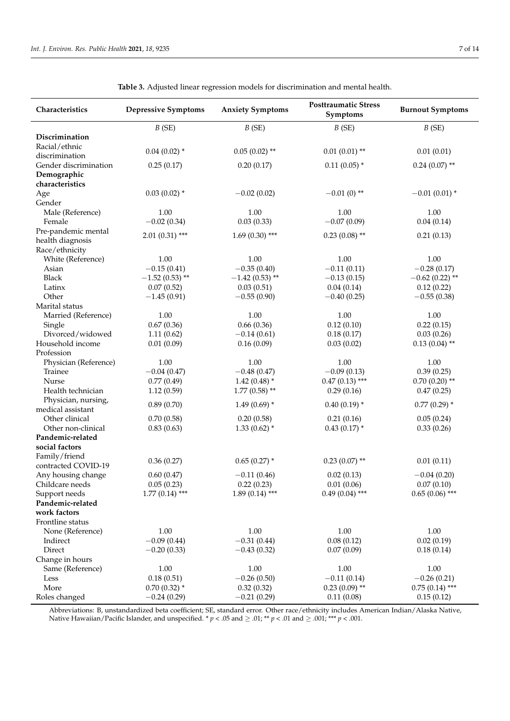<span id="page-7-0"></span>

| Characteristics                  | <b>Depressive Symptoms</b> | <b>Anxiety Symptoms</b>           | <b>Posttraumatic Stress</b><br>Symptoms | <b>Burnout Symptoms</b>       |
|----------------------------------|----------------------------|-----------------------------------|-----------------------------------------|-------------------------------|
|                                  | B(SE)                      | B(SE)                             | B(SE)                                   | B(SE)                         |
| Discrimination                   |                            |                                   |                                         |                               |
| Racial/ethnic                    | $0.04(0.02)$ *             | $0.05(0.02)$ **                   | $0.01(0.01)$ **                         | 0.01(0.01)                    |
| discrimination                   |                            |                                   |                                         |                               |
| Gender discrimination            | 0.25(0.17)                 | 0.20(0.17)                        | $0.11(0.05)$ *                          | $0.24(0.07)$ **               |
| Demographic                      |                            |                                   |                                         |                               |
| characteristics                  |                            |                                   |                                         |                               |
| Age                              | $0.03(0.02)$ *             | $-0.02(0.02)$                     | $-0.01(0)$ **                           | $-0.01(0.01)$ *               |
| Gender                           |                            |                                   |                                         |                               |
| Male (Reference)                 | 1.00                       | 1.00                              | 1.00                                    | 1.00                          |
| Female                           | $-0.02(0.34)$              | 0.03(0.33)                        | $-0.07(0.09)$                           | 0.04(0.14)                    |
| Pre-pandemic mental              | $2.01(0.31)$ ***           | $1.69(0.30)$ ***                  | $0.23(0.08)$ **                         | 0.21(0.13)                    |
| health diagnosis                 |                            |                                   |                                         |                               |
| Race/ethnicity                   |                            |                                   |                                         |                               |
| White (Reference)                | 1.00                       | 1.00                              | 1.00                                    | 1.00                          |
| Asian                            | $-0.15(0.41)$              | $-0.35(0.40)$                     | $-0.11(0.11)$                           | $-0.28(0.17)$                 |
| <b>Black</b>                     | $-1.52(0.53)$ **           | $-1.42(0.53)$ **                  | $-0.13(0.15)$                           | $-0.62(0.22)$ **              |
| Latinx                           | 0.07(0.52)                 | 0.03(0.51)                        | 0.04(0.14)                              | 0.12(0.22)                    |
| Other                            | $-1.45(0.91)$              | $-0.55(0.90)$                     | $-0.40(0.25)$                           | $-0.55(0.38)$                 |
| Marital status                   |                            |                                   |                                         |                               |
| Married (Reference)              | 1.00                       | 1.00                              | 1.00                                    | 1.00                          |
| Single                           | 0.67(0.36)                 | 0.66(0.36)                        | 0.12(0.10)                              | 0.22(0.15)                    |
| Divorced/widowed                 | 1.11(0.62)                 | $-0.14(0.61)$                     | 0.18(0.17)                              | 0.03(0.26)                    |
| Household income                 | 0.01(0.09)                 | 0.16(0.09)                        | 0.03(0.02)                              | $0.13(0.04)$ **               |
| Profession                       |                            |                                   |                                         |                               |
| Physician (Reference)<br>Trainee | 1.00                       | 1.00                              | 1.00                                    | 1.00                          |
| Nurse                            | $-0.04(0.47)$              | $-0.48(0.47)$                     | $-0.09(0.13)$<br>$0.47(0.13)$ ***       | 0.39(0.25)<br>$0.70(0.20)$ ** |
| Health technician                | 0.77(0.49)<br>1.12(0.59)   | $1.42(0.48)$ *<br>$1.77(0.58)$ ** | 0.29(0.16)                              | 0.47(0.25)                    |
| Physician, nursing,              |                            |                                   |                                         |                               |
| medical assistant                | 0.89(0.70)                 | $1.49(0.69)$ *                    | $0.40(0.19)$ *                          | $0.77(0.29)$ *                |
| Other clinical                   | 0.70(0.58)                 | 0.20(0.58)                        | 0.21(0.16)                              | 0.05(0.24)                    |
| Other non-clinical               | 0.83(0.63)                 | $1.33(0.62)$ *                    | $0.43(0.17)$ *                          | 0.33(0.26)                    |
| Pandemic-related                 |                            |                                   |                                         |                               |
| social factors                   |                            |                                   |                                         |                               |
| Family/friend                    |                            |                                   |                                         |                               |
| contracted COVID-19              | 0.36(0.27)                 | $0.65(0.27)$ *                    | $0.23(0.07)$ **                         | 0.01(0.11)                    |
| Any housing change               | 0.60(0.47)                 | $-0.11(0.46)$                     | 0.02(0.13)                              | $-0.04(0.20)$                 |
| Childcare needs                  | 0.05(0.23)                 | 0.22(0.23)                        | 0.01(0.06)                              | 0.07(0.10)                    |
| Support needs                    | $1.77(0.14)$ ***           | $1.89(0.14)$ ***                  | $0.49(0.04)$ ***                        | $0.65(0.06)$ ***              |
| Pandemic-related                 |                            |                                   |                                         |                               |
| work factors                     |                            |                                   |                                         |                               |
| Frontline status                 |                            |                                   |                                         |                               |
| None (Reference)                 | 1.00                       | 1.00                              | $1.00\,$                                | 1.00                          |
| Indirect                         | $-0.09(0.44)$              | $-0.31(0.44)$                     | 0.08(0.12)                              | 0.02(0.19)                    |
| Direct                           | $-0.20(0.33)$              | $-0.43(0.32)$                     | 0.07(0.09)                              | 0.18(0.14)                    |
| Change in hours                  |                            |                                   |                                         |                               |
| Same (Reference)                 | 1.00                       | 1.00                              | 1.00                                    | 1.00                          |
| Less                             | 0.18(0.51)                 | $-0.26(0.50)$                     | $-0.11(0.14)$                           | $-0.26(0.21)$                 |
| More                             | $0.70(0.32)$ *             | 0.32(0.32)                        | $0.23(0.09)$ **                         | $0.75(0.14)$ ***              |
| Roles changed                    | $-0.24(0.29)$              | $-0.21(0.29)$                     | 0.11(0.08)                              | 0.15(0.12)                    |

**Table 3.** Adjusted linear regression models for discrimination and mental health.

Abbreviations: B, unstandardized beta coefficient; SE, standard error. Other race/ethnicity includes American Indian/Alaska Native, Native Hawaiian/Pacific Islander, and unspecified.  $* p < .05$  and  $\ge .01; ** p < .01$  and  $\ge .001; ** p < .001$ .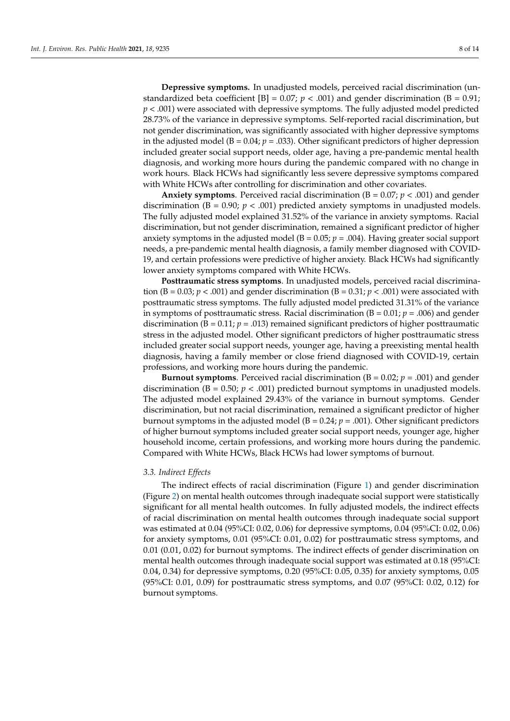**Depressive symptoms.** In unadjusted models, perceived racial discrimination (unstandardized beta coefficient [B] =  $0.07$ ;  $p < .001$ ) and gender discrimination (B = 0.91;  $p < .001$ ) were associated with depressive symptoms. The fully adjusted model predicted 28.73% of the variance in depressive symptoms. Self-reported racial discrimination, but not gender discrimination, was significantly associated with higher depressive symptoms in the adjusted model ( $B = 0.04$ ;  $p = .033$ ). Other significant predictors of higher depression included greater social support needs, older age, having a pre-pandemic mental health diagnosis, and working more hours during the pandemic compared with no change in work hours. Black HCWs had significantly less severe depressive symptoms compared with White HCWs after controlling for discrimination and other covariates.

**Anxiety symptoms**. Perceived racial discrimination ( $B = 0.07$ ;  $p < .001$ ) and gender discrimination ( $B = 0.90$ ;  $p < .001$ ) predicted anxiety symptoms in unadjusted models. The fully adjusted model explained 31.52% of the variance in anxiety symptoms. Racial discrimination, but not gender discrimination, remained a significant predictor of higher anxiety symptoms in the adjusted model  $(B = 0.05; p = .004)$ . Having greater social support needs, a pre-pandemic mental health diagnosis, a family member diagnosed with COVID-19, and certain professions were predictive of higher anxiety. Black HCWs had significantly lower anxiety symptoms compared with White HCWs.

**Posttraumatic stress symptoms**. In unadjusted models, perceived racial discrimination (B = 0.03;  $p < .001$ ) and gender discrimination (B = 0.31;  $p < .001$ ) were associated with posttraumatic stress symptoms. The fully adjusted model predicted 31.31% of the variance in symptoms of posttraumatic stress. Racial discrimination ( $B = 0.01$ ;  $p = .006$ ) and gender discrimination ( $B = 0.11$ ;  $p = .013$ ) remained significant predictors of higher posttraumatic stress in the adjusted model. Other significant predictors of higher posttraumatic stress included greater social support needs, younger age, having a preexisting mental health diagnosis, having a family member or close friend diagnosed with COVID-19, certain professions, and working more hours during the pandemic.

**Burnout symptoms**. Perceived racial discrimination ( $B = 0.02$ ;  $p = .001$ ) and gender discrimination ( $B = 0.50$ ;  $p < .001$ ) predicted burnout symptoms in unadjusted models. The adjusted model explained 29.43% of the variance in burnout symptoms. Gender discrimination, but not racial discrimination, remained a significant predictor of higher burnout symptoms in the adjusted model ( $B = 0.24$ ;  $p = .001$ ). Other significant predictors of higher burnout symptoms included greater social support needs, younger age, higher household income, certain professions, and working more hours during the pandemic. Compared with White HCWs, Black HCWs had lower symptoms of burnout.

#### *3.3. Indirect Effects*

The indirect effects of racial discrimination (Figure [1\)](#page-9-0) and gender discrimination (Figure [2\)](#page-9-1) on mental health outcomes through inadequate social support were statistically significant for all mental health outcomes. In fully adjusted models, the indirect effects of racial discrimination on mental health outcomes through inadequate social support was estimated at 0.04 (95%CI: 0.02, 0.06) for depressive symptoms, 0.04 (95%CI: 0.02, 0.06) for anxiety symptoms, 0.01 (95%CI: 0.01, 0.02) for posttraumatic stress symptoms, and 0.01 (0.01, 0.02) for burnout symptoms. The indirect effects of gender discrimination on mental health outcomes through inadequate social support was estimated at 0.18 (95%CI: 0.04, 0.34) for depressive symptoms, 0.20 (95%CI: 0.05, 0.35) for anxiety symptoms, 0.05 (95%CI: 0.01, 0.09) for posttraumatic stress symptoms, and 0.07 (95%CI: 0.02, 0.12) for burnout symptoms.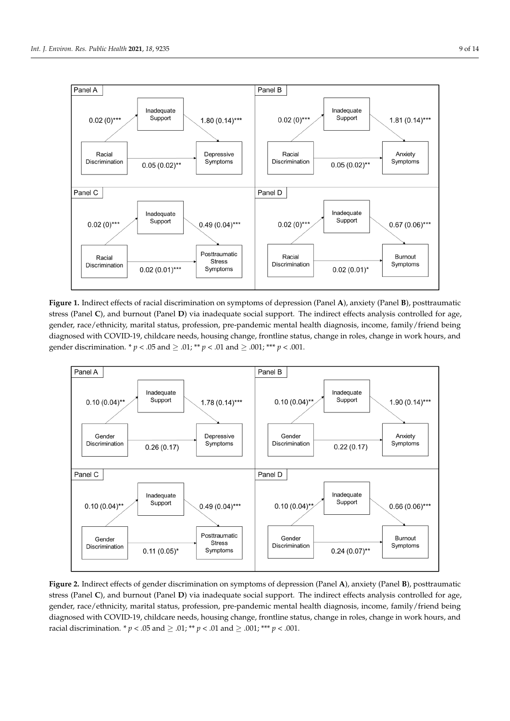<span id="page-9-0"></span>

Figure 1. Indirect effects of racial discrimination on symptoms of depression (Panel A), anxiety (Panel **B**), posttraumatic stress (Panel C), and burnout (Panel D) via inadequate social support. The indirect effects analysis controlled for age, gender, race/ethnicity, marital status, profession, pre-pandemic mental health diagnosis, income, family/friend being diagnosed with COVID-19, childcare needs, housing change, frontline status, change in roles, change in work hours, and gender discrimination. \*  $p < .05$  and  $\ge .01$ ; \*\*  $p < .01$  and  $\ge .001$ ; \*\*\*  $p < .001$ .  $\cdot$  **I.** Indirect effects of racial discrimination on symptoms of depression (Panel **A**), anxiety (Panel **B**), posttrau

<span id="page-9-1"></span>

stress (Panel C), and burnout (Panel D) via inadequate social support. The indirect effects analysis controlled for age, gender, race/ethnicity, marital status, profession, pre-pandemic mental health diagnosis, income, family/friend being diagnosed with COVID-19, childcare needs, housing change, frontline status, change in roles, change in work hours, and racial discrimination. \* *p* < .05 and  $\geq$  .01; \*\* *p* < .01 and  $\geq$  .001; \*\*\* *p* < .001. **Figure 2.** Indirect effects of gender discrimination on symptoms of depression (Panel **A**), anxiety (Panel **B**), posttraumatic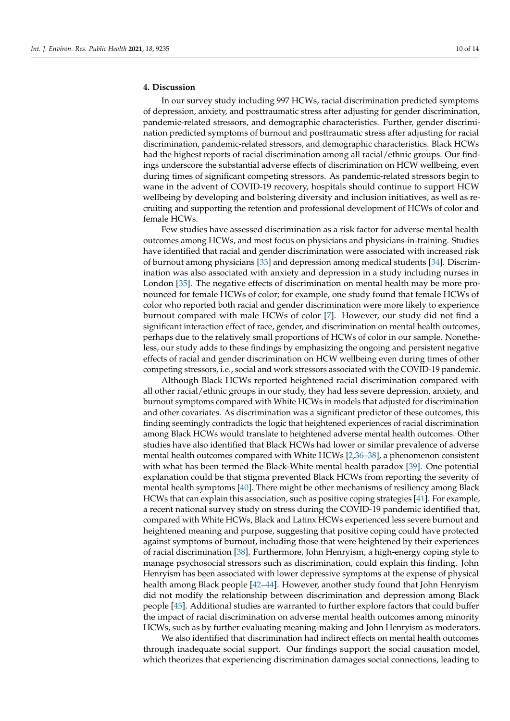#### **4. Discussion**

In our survey study including 997 HCWs, racial discrimination predicted symptoms of depression, anxiety, and posttraumatic stress after adjusting for gender discrimination, pandemic-related stressors, and demographic characteristics. Further, gender discrimination predicted symptoms of burnout and posttraumatic stress after adjusting for racial discrimination, pandemic-related stressors, and demographic characteristics. Black HCWs had the highest reports of racial discrimination among all racial/ethnic groups. Our findings underscore the substantial adverse effects of discrimination on HCW wellbeing, even during times of significant competing stressors. As pandemic-related stressors begin to wane in the advent of COVID-19 recovery, hospitals should continue to support HCW wellbeing by developing and bolstering diversity and inclusion initiatives, as well as recruiting and supporting the retention and professional development of HCWs of color and female HCWs.

Few studies have assessed discrimination as a risk factor for adverse mental health outcomes among HCWs, and most focus on physicians and physicians-in-training. Studies have identified that racial and gender discrimination were associated with increased risk of burnout among physicians [\[33\]](#page-13-8) and depression among medical students [\[34\]](#page-13-9). Discrimination was also associated with anxiety and depression in a study including nurses in London [\[35\]](#page-13-10). The negative effects of discrimination on mental health may be more pronounced for female HCWs of color; for example, one study found that female HCWs of color who reported both racial and gender discrimination were more likely to experience burnout compared with male HCWs of color [\[7\]](#page-12-6). However, our study did not find a significant interaction effect of race, gender, and discrimination on mental health outcomes, perhaps due to the relatively small proportions of HCWs of color in our sample. Nonetheless, our study adds to these findings by emphasizing the ongoing and persistent negative effects of racial and gender discrimination on HCW wellbeing even during times of other competing stressors, i.e., social and work stressors associated with the COVID-19 pandemic.

Although Black HCWs reported heightened racial discrimination compared with all other racial/ethnic groups in our study, they had less severe depression, anxiety, and burnout symptoms compared with White HCWs in models that adjusted for discrimination and other covariates. As discrimination was a significant predictor of these outcomes, this finding seemingly contradicts the logic that heightened experiences of racial discrimination among Black HCWs would translate to heightened adverse mental health outcomes. Other studies have also identified that Black HCWs had lower or similar prevalence of adverse mental health outcomes compared with White HCWs [\[2,](#page-12-1)[36–](#page-13-11)[38\]](#page-13-12), a phenomenon consistent with what has been termed the Black-White mental health paradox [\[39\]](#page-13-13). One potential explanation could be that stigma prevented Black HCWs from reporting the severity of mental health symptoms [\[40\]](#page-13-14). There might be other mechanisms of resiliency among Black HCWs that can explain this association, such as positive coping strategies [\[41\]](#page-13-15). For example, a recent national survey study on stress during the COVID-19 pandemic identified that, compared with White HCWs, Black and Latinx HCWs experienced less severe burnout and heightened meaning and purpose, suggesting that positive coping could have protected against symptoms of burnout, including those that were heightened by their experiences of racial discrimination [\[38\]](#page-13-12). Furthermore, John Henryism, a high-energy coping style to manage psychosocial stressors such as discrimination, could explain this finding. John Henryism has been associated with lower depressive symptoms at the expense of physical health among Black people [\[42–](#page-13-16)[44\]](#page-13-17). However, another study found that John Henryism did not modify the relationship between discrimination and depression among Black people [\[45\]](#page-13-18). Additional studies are warranted to further explore factors that could buffer the impact of racial discrimination on adverse mental health outcomes among minority HCWs, such as by further evaluating meaning-making and John Henryism as moderators.

We also identified that discrimination had indirect effects on mental health outcomes through inadequate social support. Our findings support the social causation model, which theorizes that experiencing discrimination damages social connections, leading to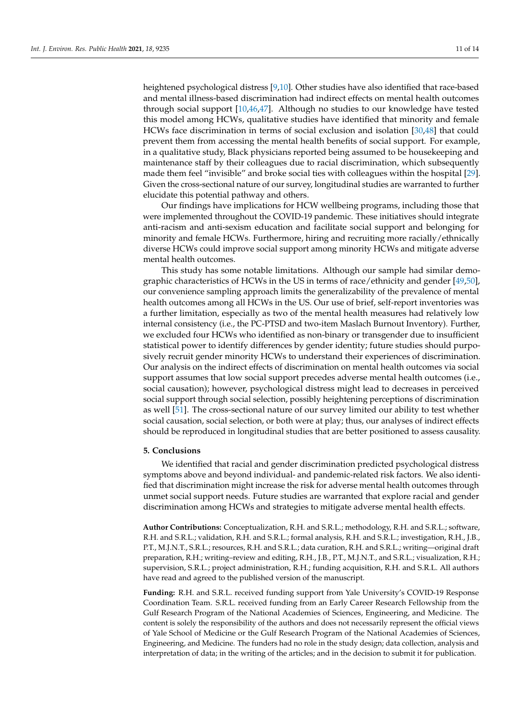heightened psychological distress [\[9](#page-12-8)[,10\]](#page-12-9). Other studies have also identified that race-based and mental illness-based discrimination had indirect effects on mental health outcomes through social support [\[10,](#page-12-9)[46,](#page-13-19)[47\]](#page-13-20). Although no studies to our knowledge have tested this model among HCWs, qualitative studies have identified that minority and female HCWs face discrimination in terms of social exclusion and isolation [\[30](#page-13-5)[,48\]](#page-14-0) that could prevent them from accessing the mental health benefits of social support. For example, in a qualitative study, Black physicians reported being assumed to be housekeeping and maintenance staff by their colleagues due to racial discrimination, which subsequently made them feel "invisible" and broke social ties with colleagues within the hospital [\[29\]](#page-13-21). Given the cross-sectional nature of our survey, longitudinal studies are warranted to further elucidate this potential pathway and others.

Our findings have implications for HCW wellbeing programs, including those that were implemented throughout the COVID-19 pandemic. These initiatives should integrate anti-racism and anti-sexism education and facilitate social support and belonging for minority and female HCWs. Furthermore, hiring and recruiting more racially/ethnically diverse HCWs could improve social support among minority HCWs and mitigate adverse mental health outcomes.

This study has some notable limitations. Although our sample had similar demographic characteristics of HCWs in the US in terms of race/ethnicity and gender [\[49,](#page-14-1)[50\]](#page-14-2), our convenience sampling approach limits the generalizability of the prevalence of mental health outcomes among all HCWs in the US. Our use of brief, self-report inventories was a further limitation, especially as two of the mental health measures had relatively low internal consistency (i.e., the PC-PTSD and two-item Maslach Burnout Inventory). Further, we excluded four HCWs who identified as non-binary or transgender due to insufficient statistical power to identify differences by gender identity; future studies should purposively recruit gender minority HCWs to understand their experiences of discrimination. Our analysis on the indirect effects of discrimination on mental health outcomes via social support assumes that low social support precedes adverse mental health outcomes (i.e., social causation); however, psychological distress might lead to decreases in perceived social support through social selection, possibly heightening perceptions of discrimination as well [\[51\]](#page-14-3). The cross-sectional nature of our survey limited our ability to test whether social causation, social selection, or both were at play; thus, our analyses of indirect effects should be reproduced in longitudinal studies that are better positioned to assess causality.

#### **5. Conclusions**

We identified that racial and gender discrimination predicted psychological distress symptoms above and beyond individual- and pandemic-related risk factors. We also identified that discrimination might increase the risk for adverse mental health outcomes through unmet social support needs. Future studies are warranted that explore racial and gender discrimination among HCWs and strategies to mitigate adverse mental health effects.

**Author Contributions:** Conceptualization, R.H. and S.R.L.; methodology, R.H. and S.R.L.; software, R.H. and S.R.L.; validation, R.H. and S.R.L.; formal analysis, R.H. and S.R.L.; investigation, R.H., J.B., P.T., M.J.N.T., S.R.L.; resources, R.H. and S.R.L.; data curation, R.H. and S.R.L.; writing—original draft preparation, R.H.; writing–review and editing, R.H., J.B., P.T., M.J.N.T., and S.R.L.; visualization, R.H.; supervision, S.R.L.; project administration, R.H.; funding acquisition, R.H. and S.R.L. All authors have read and agreed to the published version of the manuscript.

**Funding:** R.H. and S.R.L. received funding support from Yale University's COVID-19 Response Coordination Team. S.R.L. received funding from an Early Career Research Fellowship from the Gulf Research Program of the National Academies of Sciences, Engineering, and Medicine. The content is solely the responsibility of the authors and does not necessarily represent the official views of Yale School of Medicine or the Gulf Research Program of the National Academies of Sciences, Engineering, and Medicine. The funders had no role in the study design; data collection, analysis and interpretation of data; in the writing of the articles; and in the decision to submit it for publication.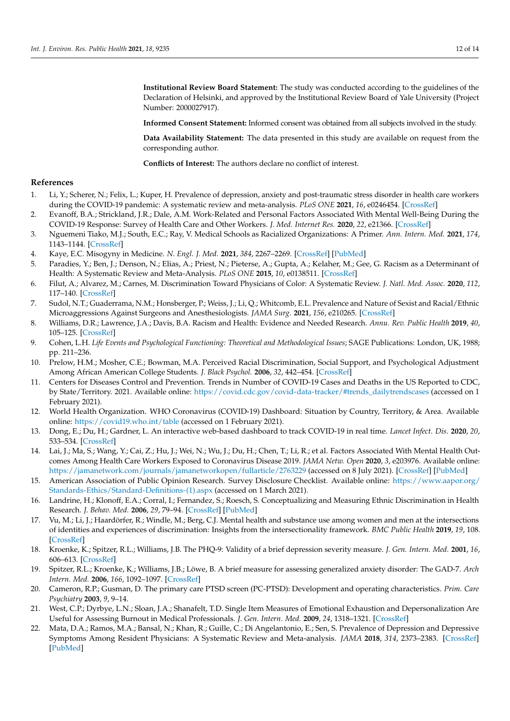**Institutional Review Board Statement:** The study was conducted according to the guidelines of the Declaration of Helsinki, and approved by the Institutional Review Board of Yale University (Project Number: 2000027917).

**Informed Consent Statement:** Informed consent was obtained from all subjects involved in the study.

**Data Availability Statement:** The data presented in this study are available on request from the corresponding author.

**Conflicts of Interest:** The authors declare no conflict of interest.

#### **References**

- <span id="page-12-0"></span>1. Li, Y.; Scherer, N.; Felix, L.; Kuper, H. Prevalence of depression, anxiety and post-traumatic stress disorder in health care workers during the COVID-19 pandemic: A systematic review and meta-analysis. *PLoS ONE* **2021**, *16*, e0246454. [\[CrossRef\]](http://doi.org/10.1371/journal.pone.0246454)
- <span id="page-12-1"></span>2. Evanoff, B.A.; Strickland, J.R.; Dale, A.M. Work-Related and Personal Factors Associated With Mental Well-Being During the COVID-19 Response: Survey of Health Care and Other Workers. *J. Med. Internet Res.* **2020**, *22*, e21366. [\[CrossRef\]](http://doi.org/10.2196/21366)
- <span id="page-12-2"></span>3. Nguemeni Tiako, M.J.; South, E.C.; Ray, V. Medical Schools as Racialized Organizations: A Primer. *Ann. Intern. Med.* **2021**, *174*, 1143–1144. [\[CrossRef\]](http://doi.org/10.7326/M21-0369)
- <span id="page-12-3"></span>4. Kaye, E.C. Misogyny in Medicine. *N. Engl. J. Med.* **2021**, *384*, 2267–2269. [\[CrossRef\]](http://doi.org/10.1056/NEJMp2103616) [\[PubMed\]](http://www.ncbi.nlm.nih.gov/pubmed/34133858)
- <span id="page-12-4"></span>5. Paradies, Y.; Ben, J.; Denson, N.; Elias, A.; Priest, N.; Pieterse, A.; Gupta, A.; Kelaher, M.; Gee, G. Racism as a Determinant of Health: A Systematic Review and Meta-Analysis. *PLoS ONE* **2015**, *10*, e0138511. [\[CrossRef\]](http://doi.org/10.1371/journal.pone.0138511)
- <span id="page-12-5"></span>6. Filut, A.; Alvarez, M.; Carnes, M. Discrimination Toward Physicians of Color: A Systematic Review. *J. Natl. Med. Assoc.* **2020**, *112*, 117–140. [\[CrossRef\]](http://doi.org/10.1016/j.jnma.2020.02.008)
- <span id="page-12-6"></span>7. Sudol, N.T.; Guaderrama, N.M.; Honsberger, P.; Weiss, J.; Li, Q.; Whitcomb, E.L. Prevalence and Nature of Sexist and Racial/Ethnic Microaggressions Against Surgeons and Anesthesiologists. *JAMA Surg.* **2021**, *156*, e210265. [\[CrossRef\]](http://doi.org/10.1001/jamasurg.2021.0265)
- <span id="page-12-7"></span>8. Williams, D.R.; Lawrence, J.A.; Davis, B.A. Racism and Health: Evidence and Needed Research. *Annu. Rev. Public Health* **2019**, *40*, 105–125. [\[CrossRef\]](http://doi.org/10.1146/annurev-publhealth-040218-043750)
- <span id="page-12-8"></span>9. Cohen, L.H. *Life Events and Psychological Functioning: Theoretical and Methodological Issues*; SAGE Publications: London, UK, 1988; pp. 211–236.
- <span id="page-12-9"></span>10. Prelow, H.M.; Mosher, C.E.; Bowman, M.A. Perceived Racial Discrimination, Social Support, and Psychological Adjustment Among African American College Students. *J. Black Psychol.* **2006**, *32*, 442–454. [\[CrossRef\]](http://doi.org/10.1177/0095798406292677)
- <span id="page-12-10"></span>11. Centers for Diseases Control and Prevention. Trends in Number of COVID-19 Cases and Deaths in the US Reported to CDC, by State/Territory. 2021. Available online: [https://covid.cdc.gov/covid-data-tracker/#trends\\_dailytrendscases](https://covid.cdc.gov/covid-data-tracker/#trends_dailytrendscases) (accessed on 1 February 2021).
- <span id="page-12-11"></span>12. World Health Organization. WHO Coronavirus (COVID-19) Dashboard: Situation by Country, Territory, & Area. Available online: <https://covid19.who.int/table> (accessed on 1 February 2021).
- <span id="page-12-12"></span>13. Dong, E.; Du, H.; Gardner, L. An interactive web-based dashboard to track COVID-19 in real time. *Lancet Infect. Dis.* **2020**, *20*, 533–534. [\[CrossRef\]](http://doi.org/10.1016/S1473-3099(20)30120-1)
- <span id="page-12-13"></span>14. Lai, J.; Ma, S.; Wang, Y.; Cai, Z.; Hu, J.; Wei, N.; Wu, J.; Du, H.; Chen, T.; Li, R.; et al. Factors Associated With Mental Health Outcomes Among Health Care Workers Exposed to Coronavirus Disease 2019. *JAMA Netw. Open* **2020**, *3*, e203976. Available online: <https://jamanetwork.com/journals/jamanetworkopen/fullarticle/2763229> (accessed on 8 July 2021). [\[CrossRef\]](http://doi.org/10.1001/jamanetworkopen.2020.3976) [\[PubMed\]](http://www.ncbi.nlm.nih.gov/pubmed/32202646)
- <span id="page-12-14"></span>15. American Association of Public Opinion Research. Survey Disclosure Checklist. Available online: [https://www.aapor.org/](https://www.aapor.org/Standards-Ethics/Standard-Definitions-(1).aspx) [Standards-Ethics/Standard-Definitions-\(1\).aspx](https://www.aapor.org/Standards-Ethics/Standard-Definitions-(1).aspx) (accessed on 1 March 2021).
- <span id="page-12-15"></span>16. Landrine, H.; Klonoff, E.A.; Corral, I.; Fernandez, S.; Roesch, S. Conceptualizing and Measuring Ethnic Discrimination in Health Research. *J. Behav. Med.* **2006**, *29*, 79–94. [\[CrossRef\]](http://doi.org/10.1007/s10865-005-9029-0) [\[PubMed\]](http://www.ncbi.nlm.nih.gov/pubmed/16470345)
- <span id="page-12-16"></span>17. Vu, M.; Li, J.; Haardörfer, R.; Windle, M.; Berg, C.J. Mental health and substance use among women and men at the intersections of identities and experiences of discrimination: Insights from the intersectionality framework. *BMC Public Health* **2019**, *19*, 108. [\[CrossRef\]](http://doi.org/10.1186/s12889-019-6430-0)
- <span id="page-12-17"></span>18. Kroenke, K.; Spitzer, R.L.; Williams, J.B. The PHQ-9: Validity of a brief depression severity measure. *J. Gen. Intern. Med.* **2001**, *16*, 606–613. [\[CrossRef\]](http://doi.org/10.1046/j.1525-1497.2001.016009606.x)
- <span id="page-12-18"></span>19. Spitzer, R.L.; Kroenke, K.; Williams, J.B.; Löwe, B. A brief measure for assessing generalized anxiety disorder: The GAD-7. *Arch Intern. Med.* **2006**, *166*, 1092–1097. [\[CrossRef\]](http://doi.org/10.1001/archinte.166.10.1092)
- <span id="page-12-19"></span>20. Cameron, R.P.; Gusman, D. The primary care PTSD screen (PC-PTSD): Development and operating characteristics. *Prim. Care Psychiatry* **2003**, *9*, 9–14.
- <span id="page-12-20"></span>21. West, C.P.; Dyrbye, L.N.; Sloan, J.A.; Shanafelt, T.D. Single Item Measures of Emotional Exhaustion and Depersonalization Are Useful for Assessing Burnout in Medical Professionals. *J. Gen. Intern. Med.* **2009**, *24*, 1318–1321. [\[CrossRef\]](http://doi.org/10.1007/s11606-009-1129-z)
- 22. Mata, D.A.; Ramos, M.A.; Bansal, N.; Khan, R.; Guille, C.; Di Angelantonio, E.; Sen, S. Prevalence of Depression and Depressive Symptoms Among Resident Physicians: A Systematic Review and Meta-analysis. *JAMA* **2018**, *314*, 2373–2383. [\[CrossRef\]](http://doi.org/10.1001/jama.2015.15845) [\[PubMed\]](http://www.ncbi.nlm.nih.gov/pubmed/26647259)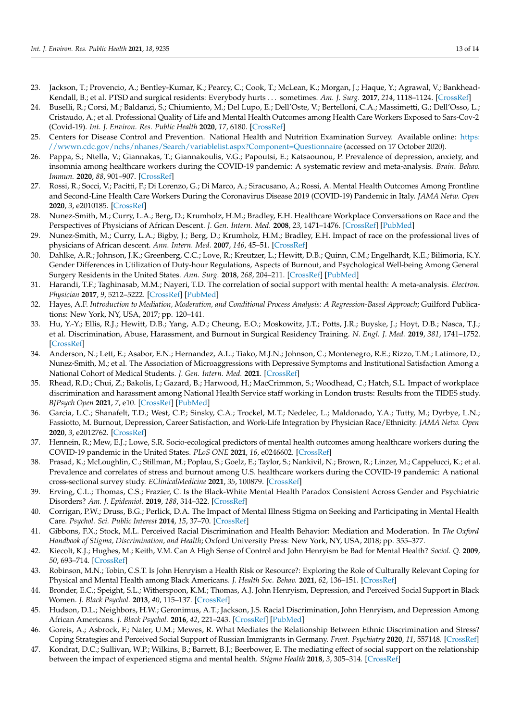- 23. Jackson, T.; Provencio, A.; Bentley-Kumar, K.; Pearcy, C.; Cook, T.; McLean, K.; Morgan, J.; Haque, Y.; Agrawal, V.; Bankhead-Kendall, B.; et al. PTSD and surgical residents: Everybody hurts . . . sometimes. *Am. J. Surg.* **2017**, *214*, 1118–1124. [\[CrossRef\]](http://doi.org/10.1016/j.amjsurg.2017.08.037)
- <span id="page-13-0"></span>24. Buselli, R.; Corsi, M.; Baldanzi, S.; Chiumiento, M.; Del Lupo, E.; Dell'Oste, V.; Bertelloni, C.A.; Massimetti, G.; Dell'Osso, L.; Cristaudo, A.; et al. Professional Quality of Life and Mental Health Outcomes among Health Care Workers Exposed to Sars-Cov-2 (Covid-19). *Int. J. Environ. Res. Public Health* **2020**, *17*, 6180. [\[CrossRef\]](http://doi.org/10.3390/ijerph17176180)
- <span id="page-13-1"></span>25. Centers for Disease Control and Prevention. National Health and Nutrition Examination Survey. Available online: [https:](https://wwwn.cdc.gov/nchs/nhanes/Search/variablelist.aspx?Component=Questionnaire) [//wwwn.cdc.gov/nchs/nhanes/Search/variablelist.aspx?Component=Questionnaire](https://wwwn.cdc.gov/nchs/nhanes/Search/variablelist.aspx?Component=Questionnaire) (accessed on 17 October 2020).
- <span id="page-13-2"></span>26. Pappa, S.; Ntella, V.; Giannakas, T.; Giannakoulis, V.G.; Papoutsi, E.; Katsaounou, P. Prevalence of depression, anxiety, and insomnia among healthcare workers during the COVID-19 pandemic: A systematic review and meta-analysis. *Brain. Behav. Immun.* **2020**, *88*, 901–907. [\[CrossRef\]](http://doi.org/10.1016/j.bbi.2020.05.026)
- <span id="page-13-3"></span>27. Rossi, R.; Socci, V.; Pacitti, F.; Di Lorenzo, G.; Di Marco, A.; Siracusano, A.; Rossi, A. Mental Health Outcomes Among Frontline and Second-Line Health Care Workers During the Coronavirus Disease 2019 (COVID-19) Pandemic in Italy. *JAMA Netw. Open* **2020**, *3*, e2010185. [\[CrossRef\]](http://doi.org/10.1001/jamanetworkopen.2020.10185)
- <span id="page-13-4"></span>28. Nunez-Smith, M.; Curry, L.A.; Berg, D.; Krumholz, H.M.; Bradley, E.H. Healthcare Workplace Conversations on Race and the Perspectives of Physicians of African Descent. *J. Gen. Intern. Med.* **2008**, *23*, 1471–1476. [\[CrossRef\]](http://doi.org/10.1007/s11606-008-0709-7) [\[PubMed\]](http://www.ncbi.nlm.nih.gov/pubmed/18618190)
- <span id="page-13-21"></span>29. Nunez-Smith, M.; Curry, L.A.; Bigby, J.; Berg, D.; Krumholz, H.M.; Bradley, E.H. Impact of race on the professional lives of physicians of African descent. *Ann. Intern. Med.* **2007**, *146*, 45–51. [\[CrossRef\]](http://doi.org/10.7326/0003-4819-146-1-200701020-00008)
- <span id="page-13-5"></span>30. Dahlke, A.R.; Johnson, J.K.; Greenberg, C.C.; Love, R.; Kreutzer, L.; Hewitt, D.B.; Quinn, C.M.; Engelhardt, K.E.; Bilimoria, K.Y. Gender Differences in Utilization of Duty-hour Regulations, Aspects of Burnout, and Psychological Well-being Among General Surgery Residents in the United States. *Ann. Surg.* **2018**, *268*, 204–211. [\[CrossRef\]](http://doi.org/10.1097/SLA.0000000000002700) [\[PubMed\]](http://www.ncbi.nlm.nih.gov/pubmed/29462009)
- <span id="page-13-6"></span>31. Harandi, T.F.; Taghinasab, M.M.; Nayeri, T.D. The correlation of social support with mental health: A meta-analysis. *Electron. Physician* **2017**, *9*, 5212–5222. [\[CrossRef\]](http://doi.org/10.19082/5212) [\[PubMed\]](http://www.ncbi.nlm.nih.gov/pubmed/29038699)
- <span id="page-13-7"></span>32. Hayes, A.F. *Introduction to Mediation, Moderation, and Conditional Process Analysis: A Regression-Based Approach*; Guilford Publications: New York, NY, USA, 2017; pp. 120–141.
- <span id="page-13-8"></span>33. Hu, Y.-Y.; Ellis, R.J.; Hewitt, D.B.; Yang, A.D.; Cheung, E.O.; Moskowitz, J.T.; Potts, J.R.; Buyske, J.; Hoyt, D.B.; Nasca, T.J.; et al. Discrimination, Abuse, Harassment, and Burnout in Surgical Residency Training. *N. Engl. J. Med.* **2019**, *381*, 1741–1752. [\[CrossRef\]](http://doi.org/10.1056/NEJMsa1903759)
- <span id="page-13-9"></span>34. Anderson, N.; Lett, E.; Asabor, E.N.; Hernandez, A.L.; Tiako, M.J.N.; Johnson, C.; Montenegro, R.E.; Rizzo, T.M.; Latimore, D.; Nunez-Smith, M.; et al. The Association of Microaggressions with Depressive Symptoms and Institutional Satisfaction Among a National Cohort of Medical Students. *J. Gen. Intern. Med.* **2021**. [\[CrossRef\]](http://doi.org/10.1007/s11606-021-06786-6)
- <span id="page-13-10"></span>35. Rhead, R.D.; Chui, Z.; Bakolis, I.; Gazard, B.; Harwood, H.; MacCrimmon, S.; Woodhead, C.; Hatch, S.L. Impact of workplace discrimination and harassment among National Health Service staff working in London trusts: Results from the TIDES study. *BJPsych Open* **2021**, *7*, e10. [\[CrossRef\]](http://doi.org/10.1192/bjo.2020.137) [\[PubMed\]](http://www.ncbi.nlm.nih.gov/pubmed/33323151)
- <span id="page-13-11"></span>36. Garcia, L.C.; Shanafelt, T.D.; West, C.P.; Sinsky, C.A.; Trockel, M.T.; Nedelec, L.; Maldonado, Y.A.; Tutty, M.; Dyrbye, L.N.; Fassiotto, M. Burnout, Depression, Career Satisfaction, and Work-Life Integration by Physician Race/Ethnicity. *JAMA Netw. Open* **2020**, *3*, e2012762. [\[CrossRef\]](http://doi.org/10.1001/jamanetworkopen.2020.12762)
- 37. Hennein, R.; Mew, E.J.; Lowe, S.R. Socio-ecological predictors of mental health outcomes among healthcare workers during the COVID-19 pandemic in the United States. *PLoS ONE* **2021**, *16*, e0246602. [\[CrossRef\]](http://doi.org/10.1371/journal.pone.0246602)
- <span id="page-13-12"></span>38. Prasad, K.; McLoughlin, C.; Stillman, M.; Poplau, S.; Goelz, E.; Taylor, S.; Nankivil, N.; Brown, R.; Linzer, M.; Cappelucci, K.; et al. Prevalence and correlates of stress and burnout among U.S. healthcare workers during the COVID-19 pandemic: A national cross-sectional survey study. *EClinicalMedicine* **2021**, *35*, 100879. [\[CrossRef\]](http://doi.org/10.1016/j.eclinm.2021.100879)
- <span id="page-13-13"></span>39. Erving, C.L.; Thomas, C.S.; Frazier, C. Is the Black-White Mental Health Paradox Consistent Across Gender and Psychiatric Disorders? *Am. J. Epidemiol.* **2019**, *188*, 314–322. [\[CrossRef\]](http://doi.org/10.1093/aje/kwy224)
- <span id="page-13-14"></span>40. Corrigan, P.W.; Druss, B.G.; Perlick, D.A. The Impact of Mental Illness Stigma on Seeking and Participating in Mental Health Care. *Psychol. Sci. Public Interest* **2014**, *15*, 37–70. [\[CrossRef\]](http://doi.org/10.1177/1529100614531398)
- <span id="page-13-15"></span>41. Gibbons, F.X.; Stock, M.L. Perceived Racial Discrimination and Health Behavior: Mediation and Moderation. In *The Oxford Handbook of Stigma, Discrimination, and Health*; Oxford University Press: New York, NY, USA, 2018; pp. 355–377.
- <span id="page-13-16"></span>42. Kiecolt, K.J.; Hughes, M.; Keith, V.M. Can A High Sense of Control and John Henryism be Bad for Mental Health? *Sociol. Q.* **2009**, *50*, 693–714. [\[CrossRef\]](http://doi.org/10.1111/j.1533-8525.2009.01152.x)
- 43. Robinson, M.N.; Tobin, C.S.T. Is John Henryism a Health Risk or Resource?: Exploring the Role of Culturally Relevant Coping for Physical and Mental Health among Black Americans. *J. Health Soc. Behav.* **2021**, *62*, 136–151. [\[CrossRef\]](http://doi.org/10.1177/00221465211009142)
- <span id="page-13-17"></span>44. Bronder, E.C.; Speight, S.L.; Witherspoon, K.M.; Thomas, A.J. John Henryism, Depression, and Perceived Social Support in Black Women. *J. Black Psychol.* **2013**, *40*, 115–137. [\[CrossRef\]](http://doi.org/10.1177/0095798412474466)
- <span id="page-13-18"></span>45. Hudson, D.L.; Neighbors, H.W.; Geronimus, A.T.; Jackson, J.S. Racial Discrimination, John Henryism, and Depression Among African Americans. *J. Black Psychol.* **2016**, *42*, 221–243. [\[CrossRef\]](http://doi.org/10.1177/0095798414567757) [\[PubMed\]](http://www.ncbi.nlm.nih.gov/pubmed/27529626)
- <span id="page-13-19"></span>46. Goreis, A.; Asbrock, F.; Nater, U.M.; Mewes, R. What Mediates the Relationship Between Ethnic Discrimination and Stress? Coping Strategies and Perceived Social Support of Russian Immigrants in Germany. *Front. Psychiatry* **2020**, *11*, 557148. [\[CrossRef\]](http://doi.org/10.3389/fpsyt.2020.557148)
- <span id="page-13-20"></span>47. Kondrat, D.C.; Sullivan, W.P.; Wilkins, B.; Barrett, B.J.; Beerbower, E. The mediating effect of social support on the relationship between the impact of experienced stigma and mental health. *Stigma Health* **2018**, *3*, 305–314. [\[CrossRef\]](http://doi.org/10.1037/sah0000103)